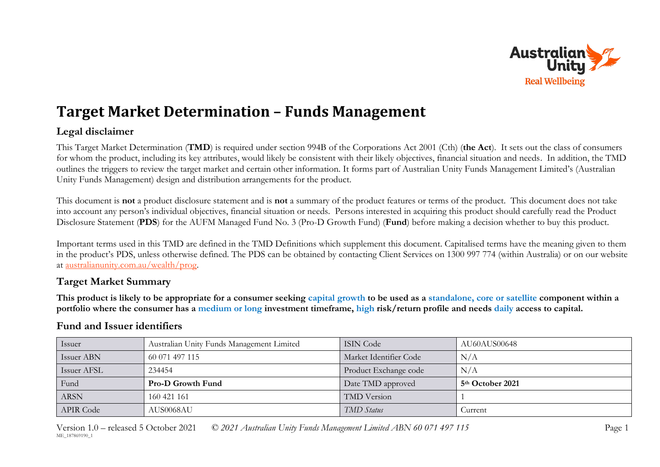

# **Target Market Determination – Funds Management**

# **Legal disclaimer**

This Target Market Determination (**TMD**) is required under section 994B of the Corporations Act 2001 (Cth) (**the Act**). It sets out the class of consumers for whom the product, including its key attributes, would likely be consistent with their likely objectives, financial situation and needs. In addition, the TMD outlines the triggers to review the target market and certain other information. It forms part of Australian Unity Funds Management Limited's (Australian Unity Funds Management) design and distribution arrangements for the product.

This document is **not** a product disclosure statement and is **not** a summary of the product features or terms of the product. This document does not take into account any person's individual objectives, financial situation or needs. Persons interested in acquiring this product should carefully read the Product Disclosure Statement (**PDS**) for the AUFM Managed Fund No. 3 (Pro-D Growth Fund) (**Fund**) before making a decision whether to buy this product.

Important terms used in this TMD are defined in the TMD Definitions which supplement this document. Capitalised terms have the meaning given to them in the product's PDS, unless otherwise defined. The PDS can be obtained by contacting Client Services on 1300 997 774 (within Australia) or on our website at [australianunity.com.au/wealth/prog.](https://www.australianunity.com.au/wealth/~/media/publicsite/documents/funds/australianunity/prod-gro/pds.ashx)

# **Target Market Summary**

**This product is likely to be appropriate for a consumer seeking capital growth to be used as a standalone, core or satellite component within a portfolio where the consumer has a medium or long investment timeframe, high risk/return profile and needs daily access to capital.**

## **Fund and Issuer identifiers**

| Issuer           | Australian Unity Funds Management Limited | <b>ISIN Code</b>       | AU60AUS00648                 |
|------------------|-------------------------------------------|------------------------|------------------------------|
| Issuer ABN       | 60 071 497 115                            | Market Identifier Code | N/A                          |
| Issuer AFSL      | 234454                                    | Product Exchange code  | N/A                          |
| Fund             | <b>Pro-D Growth Fund</b>                  | Date TMD approved      | 5 <sup>th</sup> October 2021 |
| <b>ARSN</b>      | 160 421 161                               | <b>TMD</b> Version     |                              |
| <b>APIR Code</b> | AUS0068AU                                 | <b>TMD</b> Status      | Current                      |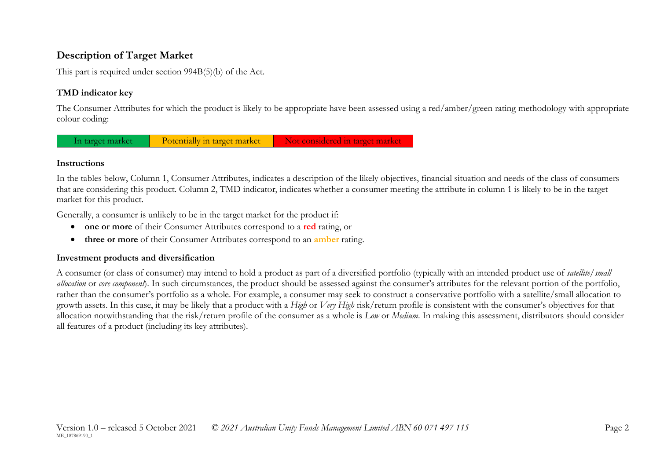# **Description of Target Market**

This part is required under section 994B(5)(b) of the Act.

### **TMD indicator key**

The Consumer Attributes for which the product is likely to be appropriate have been assessed using a red/amber/green rating methodology with appropriate colour coding:

In target market Potentially in target market Not considered in target market

#### **Instructions**

In the tables below, Column 1, Consumer Attributes, indicates a description of the likely objectives, financial situation and needs of the class of consumers that are considering this product. Column 2, TMD indicator, indicates whether a consumer meeting the attribute in column 1 is likely to be in the target market for this product.

Generally, a consumer is unlikely to be in the target market for the product if:

- **one or more** of their Consumer Attributes correspond to a **red** rating, or
- **three or more** of their Consumer Attributes correspond to an **amber** rating.

#### **Investment products and diversification**

A consumer (or class of consumer) may intend to hold a product as part of a diversified portfolio (typically with an intended product use of *satellite/small allocation* or *core component*). In such circumstances, the product should be assessed against the consumer's attributes for the relevant portion of the portfolio, rather than the consumer's portfolio as a whole. For example, a consumer may seek to construct a conservative portfolio with a satellite/small allocation to growth assets. In this case, it may be likely that a product with a *High* or *Very High* risk/return profile is consistent with the consumer's objectives for that allocation notwithstanding that the risk/return profile of the consumer as a whole is *Low* or *Medium*. In making this assessment, distributors should consider all features of a product (including its key attributes).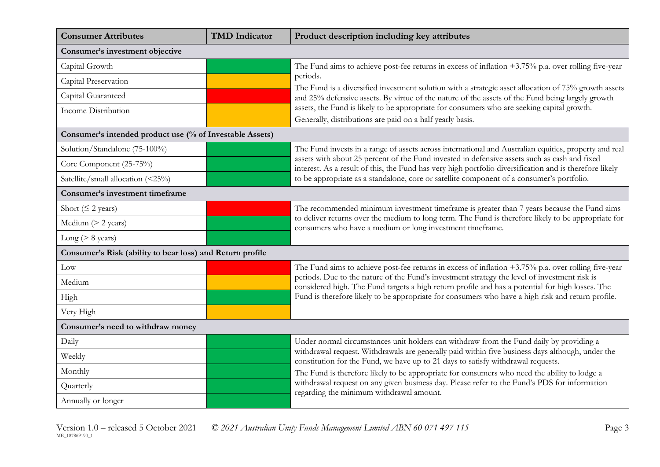| <b>Consumer Attributes</b>                                | <b>TMD</b> Indicator                                                                                                                                                                                    | Product description including key attributes                                                                                                                                                     |
|-----------------------------------------------------------|---------------------------------------------------------------------------------------------------------------------------------------------------------------------------------------------------------|--------------------------------------------------------------------------------------------------------------------------------------------------------------------------------------------------|
| Consumer's investment objective                           |                                                                                                                                                                                                         |                                                                                                                                                                                                  |
| Capital Growth                                            |                                                                                                                                                                                                         | The Fund aims to achieve post-fee returns in excess of inflation $+3.75\%$ p.a. over rolling five-year                                                                                           |
| Capital Preservation                                      |                                                                                                                                                                                                         | periods.<br>The Fund is a diversified investment solution with a strategic asset allocation of 75% growth assets                                                                                 |
| Capital Guaranteed                                        |                                                                                                                                                                                                         | and 25% defensive assets. By virtue of the nature of the assets of the Fund being largely growth                                                                                                 |
| Income Distribution                                       |                                                                                                                                                                                                         | assets, the Fund is likely to be appropriate for consumers who are seeking capital growth.                                                                                                       |
|                                                           |                                                                                                                                                                                                         | Generally, distributions are paid on a half yearly basis.                                                                                                                                        |
| Consumer's intended product use (% of Investable Assets)  |                                                                                                                                                                                                         |                                                                                                                                                                                                  |
| Solution/Standalone (75-100%)                             |                                                                                                                                                                                                         | The Fund invests in a range of assets across international and Australian equities, property and real                                                                                            |
| Core Component (25-75%)                                   | assets with about 25 percent of the Fund invested in defensive assets such as cash and fixed<br>interest. As a result of this, the Fund has very high portfolio diversification and is therefore likely |                                                                                                                                                                                                  |
| Satellite/small allocation (<25%)                         |                                                                                                                                                                                                         | to be appropriate as a standalone, core or satellite component of a consumer's portfolio.                                                                                                        |
| Consumer's investment timeframe                           |                                                                                                                                                                                                         |                                                                                                                                                                                                  |
| Short ( $\leq$ 2 years)                                   |                                                                                                                                                                                                         | The recommended minimum investment timeframe is greater than 7 years because the Fund aims                                                                                                       |
| Medium $(> 2$ years)                                      |                                                                                                                                                                                                         | to deliver returns over the medium to long term. The Fund is therefore likely to be appropriate for<br>consumers who have a medium or long investment timeframe.                                 |
| Long ( $> 8$ years)                                       |                                                                                                                                                                                                         |                                                                                                                                                                                                  |
| Consumer's Risk (ability to bear loss) and Return profile |                                                                                                                                                                                                         |                                                                                                                                                                                                  |
| Low                                                       |                                                                                                                                                                                                         | The Fund aims to achieve post-fee returns in excess of inflation $+3.75\%$ p.a. over rolling five-year                                                                                           |
| Medium                                                    |                                                                                                                                                                                                         | periods. Due to the nature of the Fund's investment strategy the level of investment risk is<br>considered high. The Fund targets a high return profile and has a potential for high losses. The |
| High                                                      |                                                                                                                                                                                                         | Fund is therefore likely to be appropriate for consumers who have a high risk and return profile.                                                                                                |
| Very High                                                 |                                                                                                                                                                                                         |                                                                                                                                                                                                  |
| Consumer's need to withdraw money                         |                                                                                                                                                                                                         |                                                                                                                                                                                                  |
| Daily                                                     |                                                                                                                                                                                                         | Under normal circumstances unit holders can withdraw from the Fund daily by providing a                                                                                                          |
| Weekly                                                    |                                                                                                                                                                                                         | withdrawal request. Withdrawals are generally paid within five business days although, under the<br>constitution for the Fund, we have up to 21 days to satisfy withdrawal requests.             |
| Monthly                                                   |                                                                                                                                                                                                         | The Fund is therefore likely to be appropriate for consumers who need the ability to lodge a                                                                                                     |
| Quarterly                                                 |                                                                                                                                                                                                         | withdrawal request on any given business day. Please refer to the Fund's PDS for information<br>regarding the minimum withdrawal amount.                                                         |
| Annually or longer                                        |                                                                                                                                                                                                         |                                                                                                                                                                                                  |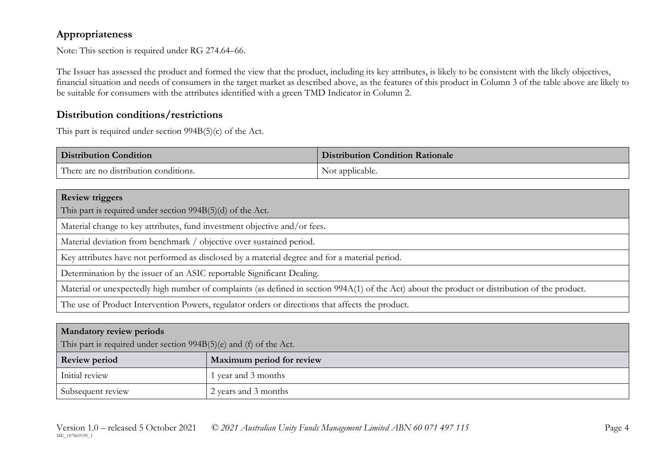# **Appropriateness**

Note: This section is required under RG 274.64–66.

The Issuer has assessed the product and formed the view that the product, including its key attributes, is likely to be consistent with the likely objectives, financial situation and needs of consumers in the target market as described above, as the features of this product in Column 3 of the table above are likely to be suitable for consumers with the attributes identified with a green TMD Indicator in Column 2.

## **Distribution conditions/restrictions**

This part is required under section 994B(5)(c) of the Act.

| <b>Distribution Condition</b>         | <b>Distribution Condition Rationale</b> |
|---------------------------------------|-----------------------------------------|
| There are no distribution conditions. | Not applicable.                         |

#### **Review triggers**

This part is required under section 994B(5)(d) of the Act.

Material change to key attributes, fund investment objective and/or fees.

Material deviation from benchmark / objective over sustained period.

Key attributes have not performed as disclosed by a material degree and for a material period.

Determination by the issuer of an ASIC reportable Significant Dealing.

Material or unexpectedly high number of complaints (as defined in section 994A(1) of the Act) about the product or distribution of the product.

The use of Product Intervention Powers, regulator orders or directions that affects the product.

### **Mandatory review periods**

This part is required under section 994B(5)(e) and (f) of the Act.

| <b>Review period</b> | Maximum period for review |
|----------------------|---------------------------|
| Initial review       | 1 year and 3 months       |
| Subsequent review    | 2 years and 3 months      |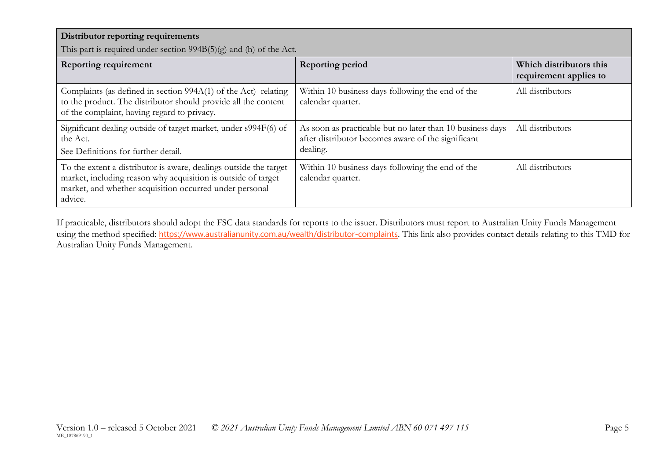| Distributor reporting requirements<br>This part is required under section $994B(5)(g)$ and (h) of the Act.                                                                                               |                                                                                                                             |                                                   |
|----------------------------------------------------------------------------------------------------------------------------------------------------------------------------------------------------------|-----------------------------------------------------------------------------------------------------------------------------|---------------------------------------------------|
| <b>Reporting requirement</b>                                                                                                                                                                             | <b>Reporting period</b>                                                                                                     | Which distributors this<br>requirement applies to |
| Complaints (as defined in section 994A(1) of the Act) relating<br>to the product. The distributor should provide all the content<br>of the complaint, having regard to privacy.                          | Within 10 business days following the end of the<br>calendar quarter.                                                       | All distributors                                  |
| Significant dealing outside of target market, under s994F(6) of<br>the Act.<br>See Definitions for further detail.                                                                                       | As soon as practicable but no later than 10 business days<br>after distributor becomes aware of the significant<br>dealing. | All distributors                                  |
| To the extent a distributor is aware, dealings outside the target<br>market, including reason why acquisition is outside of target<br>market, and whether acquisition occurred under personal<br>advice. | Within 10 business days following the end of the<br>calendar quarter.                                                       | All distributors                                  |

If practicable, distributors should adopt the FSC data standards for reports to the issuer. Distributors must report to Australian Unity Funds Management using the method specified: <https://www.australianunity.com.au/wealth/distributor-complaints>. This link also provides contact details relating to this TMD for Australian Unity Funds Management.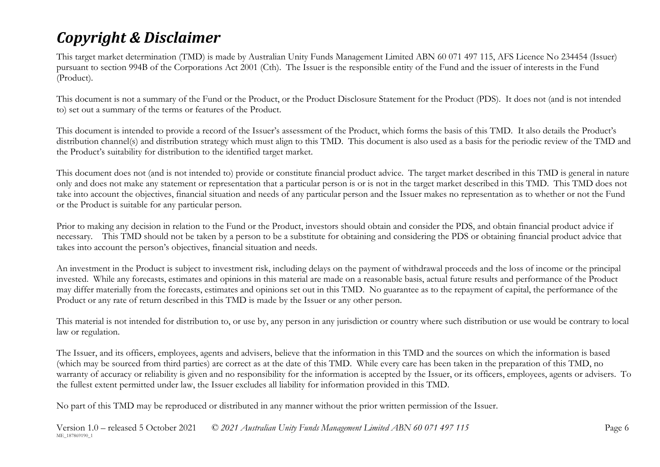# *Copyright & Disclaimer*

This target market determination (TMD) is made by Australian Unity Funds Management Limited ABN 60 071 497 115, AFS Licence No 234454 (Issuer) pursuant to section 994B of the Corporations Act 2001 (Cth). The Issuer is the responsible entity of the Fund and the issuer of interests in the Fund (Product).

This document is not a summary of the Fund or the Product, or the Product Disclosure Statement for the Product (PDS). It does not (and is not intended to) set out a summary of the terms or features of the Product.

This document is intended to provide a record of the Issuer's assessment of the Product, which forms the basis of this TMD. It also details the Product's distribution channel(s) and distribution strategy which must align to this TMD. This document is also used as a basis for the periodic review of the TMD and the Product's suitability for distribution to the identified target market.

This document does not (and is not intended to) provide or constitute financial product advice. The target market described in this TMD is general in nature only and does not make any statement or representation that a particular person is or is not in the target market described in this TMD. This TMD does not take into account the objectives, financial situation and needs of any particular person and the Issuer makes no representation as to whether or not the Fund or the Product is suitable for any particular person.

Prior to making any decision in relation to the Fund or the Product, investors should obtain and consider the PDS, and obtain financial product advice if necessary. This TMD should not be taken by a person to be a substitute for obtaining and considering the PDS or obtaining financial product advice that takes into account the person's objectives, financial situation and needs.

An investment in the Product is subject to investment risk, including delays on the payment of withdrawal proceeds and the loss of income or the principal invested. While any forecasts, estimates and opinions in this material are made on a reasonable basis, actual future results and performance of the Product may differ materially from the forecasts, estimates and opinions set out in this TMD. No guarantee as to the repayment of capital, the performance of the Product or any rate of return described in this TMD is made by the Issuer or any other person.

This material is not intended for distribution to, or use by, any person in any jurisdiction or country where such distribution or use would be contrary to local law or regulation.

The Issuer, and its officers, employees, agents and advisers, believe that the information in this TMD and the sources on which the information is based (which may be sourced from third parties) are correct as at the date of this TMD. While every care has been taken in the preparation of this TMD, no warranty of accuracy or reliability is given and no responsibility for the information is accepted by the Issuer, or its officers, employees, agents or advisers. To the fullest extent permitted under law, the Issuer excludes all liability for information provided in this TMD.

No part of this TMD may be reproduced or distributed in any manner without the prior written permission of the Issuer.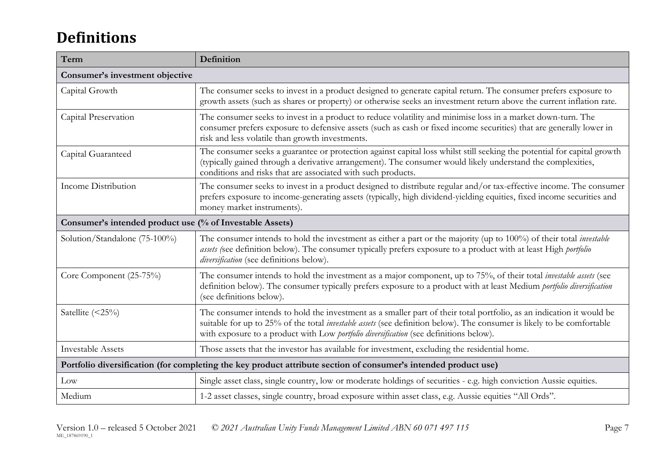# **Definitions**

| Term                                                                                                            | Definition                                                                                                                                                                                                                                                                                                                                      |  |
|-----------------------------------------------------------------------------------------------------------------|-------------------------------------------------------------------------------------------------------------------------------------------------------------------------------------------------------------------------------------------------------------------------------------------------------------------------------------------------|--|
| Consumer's investment objective                                                                                 |                                                                                                                                                                                                                                                                                                                                                 |  |
| Capital Growth                                                                                                  | The consumer seeks to invest in a product designed to generate capital return. The consumer prefers exposure to<br>growth assets (such as shares or property) or otherwise seeks an investment return above the current inflation rate.                                                                                                         |  |
| Capital Preservation                                                                                            | The consumer seeks to invest in a product to reduce volatility and minimise loss in a market down-turn. The<br>consumer prefers exposure to defensive assets (such as cash or fixed income securities) that are generally lower in<br>risk and less volatile than growth investments.                                                           |  |
| Capital Guaranteed                                                                                              | The consumer seeks a guarantee or protection against capital loss whilst still seeking the potential for capital growth<br>(typically gained through a derivative arrangement). The consumer would likely understand the complexities,<br>conditions and risks that are associated with such products.                                          |  |
| Income Distribution                                                                                             | The consumer seeks to invest in a product designed to distribute regular and/or tax-effective income. The consumer<br>prefers exposure to income-generating assets (typically, high dividend-yielding equities, fixed income securities and<br>money market instruments).                                                                       |  |
| Consumer's intended product use (% of Investable Assets)                                                        |                                                                                                                                                                                                                                                                                                                                                 |  |
| Solution/Standalone (75-100%)                                                                                   | The consumer intends to hold the investment as either a part or the majority (up to 100%) of their total <i>investable</i><br>assets (see definition below). The consumer typically prefers exposure to a product with at least High portfolio<br>diversification (see definitions below).                                                      |  |
| Core Component (25-75%)                                                                                         | The consumer intends to hold the investment as a major component, up to 75%, of their total <i>investable assets</i> (see<br>definition below). The consumer typically prefers exposure to a product with at least Medium portfolio diversification<br>(see definitions below).                                                                 |  |
| Satellite (<25%)                                                                                                | The consumer intends to hold the investment as a smaller part of their total portfolio, as an indication it would be<br>suitable for up to 25% of the total <i>investable assets</i> (see definition below). The consumer is likely to be comfortable<br>with exposure to a product with Low portfolio diversification (see definitions below). |  |
| <b>Investable Assets</b>                                                                                        | Those assets that the investor has available for investment, excluding the residential home.                                                                                                                                                                                                                                                    |  |
| Portfolio diversification (for completing the key product attribute section of consumer's intended product use) |                                                                                                                                                                                                                                                                                                                                                 |  |
| Low                                                                                                             | Single asset class, single country, low or moderate holdings of securities - e.g. high conviction Aussie equities.                                                                                                                                                                                                                              |  |
| Medium                                                                                                          | 1-2 asset classes, single country, broad exposure within asset class, e.g. Aussie equities "All Ords".                                                                                                                                                                                                                                          |  |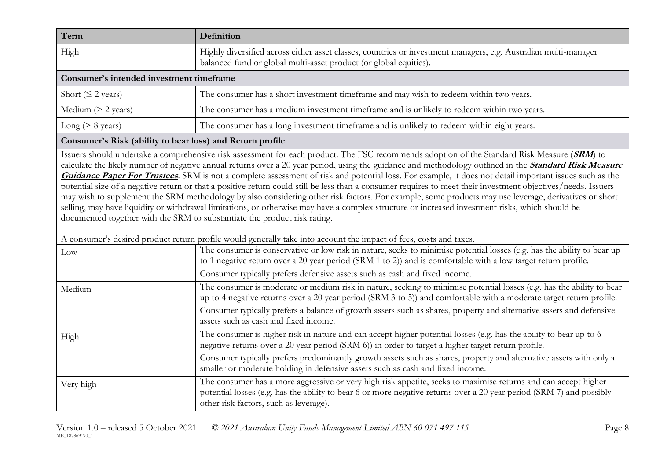| Term                                     | Definition                                                                                                                                                                           |  |
|------------------------------------------|--------------------------------------------------------------------------------------------------------------------------------------------------------------------------------------|--|
| High                                     | Highly diversified across either asset classes, countries or investment managers, e.g. Australian multi-manager<br>balanced fund or global multi-asset product (or global equities). |  |
| Consumer's intended investment timeframe |                                                                                                                                                                                      |  |
| Short ( $\leq$ 2 years)                  | The consumer has a short investment timeframe and may wish to redeem within two years.                                                                                               |  |
| Medium $(> 2$ years)                     | The consumer has a medium investment timeframe and is unlikely to redeem within two years.                                                                                           |  |
| Long ( $> 8$ years)                      | The consumer has a long investment timeframe and is unlikely to redeem within eight years.                                                                                           |  |

#### **Consumer's Risk (ability to bear loss) and Return profile**

Issuers should undertake a comprehensive risk assessment for each product. The FSC recommends adoption of the Standard Risk Measure (**SRM**) to calculate the likely number of negative annual returns over a 20 year period, using the guidance and methodology outlined in the **[Standard Risk Measure](https://protect-eu.mimecast.com/s/pqPaCwVNmtGRQpvMFVpVgu?domain=urldefense.com)  [Guidance Paper For Trustees](https://protect-eu.mimecast.com/s/pqPaCwVNmtGRQpvMFVpVgu?domain=urldefense.com)**. SRM is not a complete assessment of risk and potential loss. For example, it does not detail important issues such as the potential size of a negative return or that a positive return could still be less than a consumer requires to meet their investment objectives/needs. Issuers may wish to supplement the SRM methodology by also considering other risk factors. For example, some products may use leverage, derivatives or short selling, may have liquidity or withdrawal limitations, or otherwise may have a complex structure or increased investment risks, which should be documented together with the SRM to substantiate the product risk rating.

A consumer's desired product return profile would generally take into account the impact of fees, costs and taxes.

| Low       | The consumer is conservative or low risk in nature, seeks to minimise potential losses (e.g. has the ability to bear up<br>to 1 negative return over a 20 year period (SRM 1 to 2)) and is comfortable with a low target return profile.                                         |
|-----------|----------------------------------------------------------------------------------------------------------------------------------------------------------------------------------------------------------------------------------------------------------------------------------|
|           | Consumer typically prefers defensive assets such as cash and fixed income.                                                                                                                                                                                                       |
| Medium    | The consumer is moderate or medium risk in nature, seeking to minimise potential losses (e.g. has the ability to bear<br>up to 4 negative returns over a 20 year period (SRM 3 to 5)) and comfortable with a moderate target return profile.                                     |
|           | Consumer typically prefers a balance of growth assets such as shares, property and alternative assets and defensive<br>assets such as cash and fixed income.                                                                                                                     |
| High      | The consumer is higher risk in nature and can accept higher potential losses (e.g. has the ability to bear up to 6<br>negative returns over a 20 year period (SRM 6)) in order to target a higher target return profile.                                                         |
|           | Consumer typically prefers predominantly growth assets such as shares, property and alternative assets with only a<br>smaller or moderate holding in defensive assets such as cash and fixed income.                                                                             |
| Very high | The consumer has a more aggressive or very high risk appetite, seeks to maximise returns and can accept higher<br>potential losses (e.g. has the ability to bear 6 or more negative returns over a 20 year period (SRM 7) and possibly<br>other risk factors, such as leverage). |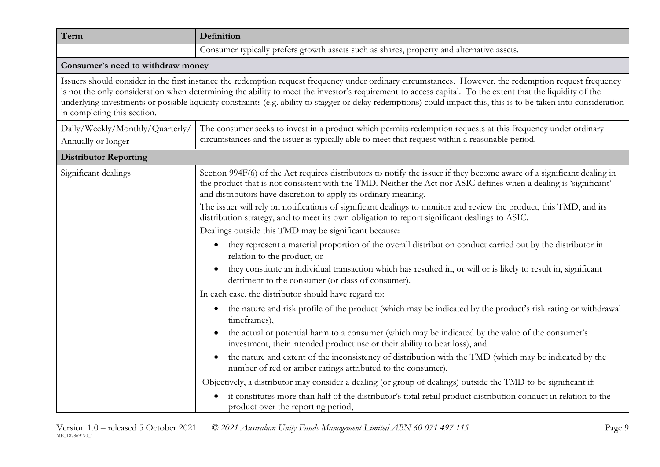| Term                                                  | Definition                                                                                                                                                                                                                                                                                                                                                                                                                                                                              |  |
|-------------------------------------------------------|-----------------------------------------------------------------------------------------------------------------------------------------------------------------------------------------------------------------------------------------------------------------------------------------------------------------------------------------------------------------------------------------------------------------------------------------------------------------------------------------|--|
|                                                       | Consumer typically prefers growth assets such as shares, property and alternative assets.                                                                                                                                                                                                                                                                                                                                                                                               |  |
| Consumer's need to withdraw money                     |                                                                                                                                                                                                                                                                                                                                                                                                                                                                                         |  |
| in completing this section.                           | Issuers should consider in the first instance the redemption request frequency under ordinary circumstances. However, the redemption request frequency<br>is not the only consideration when determining the ability to meet the investor's requirement to access capital. To the extent that the liquidity of the<br>underlying investments or possible liquidity constraints (e.g. ability to stagger or delay redemptions) could impact this, this is to be taken into consideration |  |
| Daily/Weekly/Monthly/Quarterly/<br>Annually or longer | The consumer seeks to invest in a product which permits redemption requests at this frequency under ordinary<br>circumstances and the issuer is typically able to meet that request within a reasonable period.                                                                                                                                                                                                                                                                         |  |
| <b>Distributor Reporting</b>                          |                                                                                                                                                                                                                                                                                                                                                                                                                                                                                         |  |
| Significant dealings                                  | Section 994F(6) of the Act requires distributors to notify the issuer if they become aware of a significant dealing in<br>the product that is not consistent with the TMD. Neither the Act nor ASIC defines when a dealing is 'significant'<br>and distributors have discretion to apply its ordinary meaning.                                                                                                                                                                          |  |
|                                                       | The issuer will rely on notifications of significant dealings to monitor and review the product, this TMD, and its<br>distribution strategy, and to meet its own obligation to report significant dealings to ASIC.                                                                                                                                                                                                                                                                     |  |
|                                                       | Dealings outside this TMD may be significant because:                                                                                                                                                                                                                                                                                                                                                                                                                                   |  |
|                                                       | they represent a material proportion of the overall distribution conduct carried out by the distributor in<br>$\bullet$<br>relation to the product, or                                                                                                                                                                                                                                                                                                                                  |  |
|                                                       | they constitute an individual transaction which has resulted in, or will or is likely to result in, significant<br>$\bullet$<br>detriment to the consumer (or class of consumer).                                                                                                                                                                                                                                                                                                       |  |
|                                                       | In each case, the distributor should have regard to:                                                                                                                                                                                                                                                                                                                                                                                                                                    |  |
|                                                       | the nature and risk profile of the product (which may be indicated by the product's risk rating or withdrawal<br>$\bullet$<br>timeframes),                                                                                                                                                                                                                                                                                                                                              |  |
|                                                       | the actual or potential harm to a consumer (which may be indicated by the value of the consumer's<br>investment, their intended product use or their ability to bear loss), and                                                                                                                                                                                                                                                                                                         |  |
|                                                       | the nature and extent of the inconsistency of distribution with the TMD (which may be indicated by the<br>$\bullet$<br>number of red or amber ratings attributed to the consumer).                                                                                                                                                                                                                                                                                                      |  |
|                                                       | Objectively, a distributor may consider a dealing (or group of dealings) outside the TMD to be significant if:                                                                                                                                                                                                                                                                                                                                                                          |  |
|                                                       | it constitutes more than half of the distributor's total retail product distribution conduct in relation to the<br>product over the reporting period,                                                                                                                                                                                                                                                                                                                                   |  |